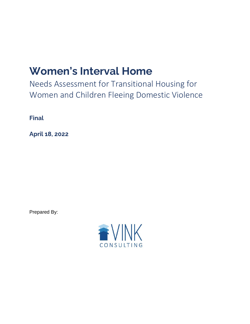# **Women's Interval Home**

Needs Assessment for Transitional Housing for Women and Children Fleeing Domestic Violence

**Final**

**April 18, 2022**

Prepared By:

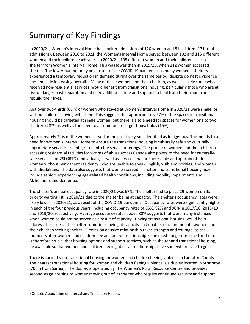## Summary of Key Findings

In 2020/21, Women's Interval Home had shelter admissions of 120 women and 51 children (171 total admissions). Between 2016 to 2021, the Women's Interval Home served between 102 and 115 different women and their children each year. In 2020/21, 105 different women and their children accessed shelter from Women's Interval Home. This was lower than in 2019/20, when 112 women accessed shelter. The lower number may be a result of the COVID-19 pandemic, as many women's shelters experienced a temporary reduction in demand during over the same period, despite domestic violence and femicide increasing overall<sup>1</sup>. Many of these women and their children, as well as likely some who received non-residential services, would benefit from transitional housing, particularly those who are at risk of danger post-separation and need additional time and support to heal from their trauma and rebuild their lives.

Just over two-thirds (68%) of women who stayed at Women's Interval Home in 2020/21 were single, or without children staying with them. This suggests that approximately 57% of the spaces in transitional housing should be targeted at single women, but there is also a need for spaces for women one to two children (28%) as well as the need to accommodate larger households (15%).

Approximately 22% of the women served in the past five years identified as Indigenous. This points to a need for Women's Interval Home to ensure the transitional housing is culturally safe and culturally appropriate services are integrated into the service offerings. The profile of women and their children accessing residential facilities for victims of abuse across Canada also points to the need for culturallysafe services for 2SLGBTQ+ individuals, as well as services that are accessible and appropriate for women without permanent residency, who are unable to speak English, visible minorities, and women with disabilities. The data also suggests that women served in shelter and transitional housing may include seniors experiencing age-related health conditions, including mobility impairments and Alzheimer's and dementia.

The shelter's annual occupancy rate in 2020/21 was 67%. The shelter had to place 29 women on its priority waiting list in 2020/21 due to the shelter being at capacity. The shelter's occupancy rates were likely lower in 2020/21, as a result of the COVID-19 pandemic. Occupancy rates were significantly higher in each of the four previous years, including occupancy rates of 85%, 92% and 90% in 2017/18, 2018/19 and 2019/20, respectively. Average occupancy rates above 80% suggests that were many instances when women could not be served as a result of capacity. Having transitional housing would help address the issue of the shelter sometimes being at capacity and unable to accommodate women and their children seeking shelter. Fleeing an abusive relationship takes strength and courage, as the moments after women and children flee an abusive relationship is the most dangerous time for them. It is therefore crucial that housing options and support services, such as shelter and transitional housing, be available so that women and children fleeing abusive relationships have somewhere safe to go.

There is currently no transitional housing for women and children fleeing violence in Lambton County. The nearest transitional housing for women and children fleeing violence is a duplex located in Strathroy (70km from Sarnia). The duplex is operated by The Women's Rural Resource Centre and provides second stage housing to women moving out of its shelter who require continued security and support.

<sup>1</sup> Ontario Association of Interval and Transition Houses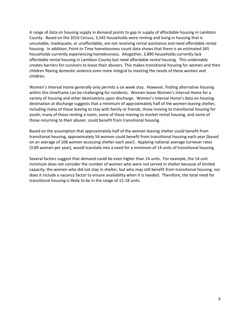A range of data on housing supply in demand points to gap in supply of affordable housing in Lambton County. Based on the 2016 Census, 3,545 households were renting and living in housing that is unsuitable, inadequate, or unaffordable, are not receiving rental assistance and need affordable rental housing. In addition, Point-In-Time homelessness count data shows that there is an estimated 345 households currently experiencing homelessness. Altogether, 3,890 households currently lack affordable rental housing in Lambton County but need affordable rental housing. This undeniably creates barriers for survivors to leave their abusers. This makes transitional housing for women and their children fleeing domestic violence even more integral to meeting the needs of these women and children.

Women's Interval Home generally only permits a six week stay. However, finding alternative housing within this timeframe can be challenging for residents. Women leave Women's Interval Home for a variety of housing and other destinations upon discharge. Women's Interval Home's data on housing destination at discharge suggests that a minimum of approximately half of the women leaving shelter, including many of those leaving to stay with family or friends, those moving to transitional housing for youth, many of those renting a room, some of those moving to market rental housing, and some of those returning to their abuser, could benefit from transitional housing.

Based on the assumption that approximately half of the women leaving shelter could benefit from transitional housing, approximately 54 women could benefit from transitional housing each year (based on an average of 108 women accessing shelter each year). Applying national average turnover rates (3.89 women per year), would translate into a need for a minimum of 14 units of transitional housing.

Several factors suggest that demand could be even higher than 14 units. For example, the 14 unit minimum does not consider the number of women who were not served in shelter because of limited capacity, the women who did not stay in shelter, but who may still benefit from transitional housing, nor does it include a vacancy factor to ensure availability when it is needed. Therefore, the total need for transitional housing is likely to be in the range of 15-18 units.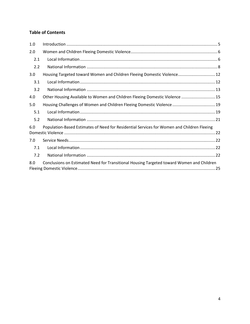### **Table of Contents**

| 1.0 |                                                                                            |
|-----|--------------------------------------------------------------------------------------------|
| 2.0 |                                                                                            |
| 2.1 |                                                                                            |
| 2.2 |                                                                                            |
| 3.0 | Housing Targeted toward Women and Children Fleeing Domestic Violence 12                    |
| 3.1 |                                                                                            |
| 3.2 |                                                                                            |
| 4.0 | Other Housing Available to Women and Children Fleeing Domestic Violence  15                |
| 5.0 | Housing Challenges of Women and Children Fleeing Domestic Violence  19                     |
| 5.1 |                                                                                            |
| 5.2 |                                                                                            |
| 6.0 | Population-Based Estimates of Need for Residential Services for Women and Children Fleeing |
| 7.0 |                                                                                            |
| 7.1 |                                                                                            |
| 7.2 |                                                                                            |
| 8.0 | Conclusions on Estimated Need for Transitional Housing Targeted toward Women and Children  |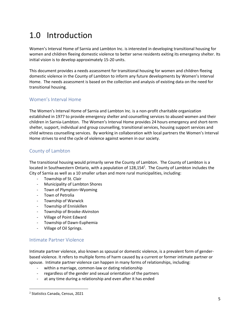## <span id="page-4-0"></span>1.0 Introduction

Women's Interval Home of Sarnia and Lambton Inc. is interested in developing transitional housing for women and children fleeing domestic violence to better serve residents exiting its emergency shelter. Its initial vision is to develop approximately 15-20 units.

This document provides a needs assessment for transitional housing for women and children fleeing domestic violence in the County of Lambton to inform any future developments by Women's Interval Home. The needs assessment is based on the collection and analysis of existing data on the need for transitional housing.

### Women's Interval Home

The Women's Interval Home of Sarnia and Lambton Inc. is a non-profit charitable organization established in 1977 to provide emergency shelter and counselling services to abused women and their children in Sarnia-Lambton. The Women's Interval Home provides 24 hours emergency and short-term shelter, support, individual and group counselling, transitional services, housing support services and child witness counselling services. By working in collaboration with local partners the Women's Interval Home strives to end the cycle of violence against women in our society.

### County of Lambton

The transitional housing would primarily serve the County of Lambton. The County of Lambton is a located in Southwestern Ontario, with a population of 128,154<sup>2</sup>. The County of Lambton includes the City of Sarnia as well as a 10 smaller urban and more rural municipalities, including:

- Township of [St. Clair](https://en.wikipedia.org/wiki/St._Clair,_Ontario)
- Municipality of [Lambton Shores](https://en.wikipedia.org/wiki/Lambton_Shores)
- Town of [Plympton](https://en.wikipedia.org/wiki/Plympton%E2%80%93Wyoming)–Wyoming
- Town of [Petrolia](https://en.wikipedia.org/wiki/Petrolia,_Ontario)
- Township of [Warwick](https://en.wikipedia.org/wiki/Warwick,_Ontario)
- Township of [Enniskillen](https://en.wikipedia.org/wiki/Enniskillen,_Ontario)
- Township of [Brooke-Alvinston](https://en.wikipedia.org/wiki/Brooke-Alvinston)
- Village of [Point Edward](https://en.wikipedia.org/wiki/Point_Edward,_Ontario)
- Township of [Dawn-Euphemia](https://en.wikipedia.org/wiki/Dawn-Euphemia)
- Village of [Oil Springs.](https://en.wikipedia.org/wiki/Oil_Springs,_Ontario)

### Intimate Partner Violence

Intimate partner violence, also known as spousal or domestic violence, is a prevalent form of genderbased violence. It refers to multiple forms of harm caused by a current or former intimate partner or spouse. Intimate partner violence can happen in many forms of relationships, including:

- within a marriage, common-law or dating relationship
- regardless of the gender and sexual orientation of the partners
- at any time during a relationship and even after it has ended

<sup>2</sup> Statistics Canada, Census, 2021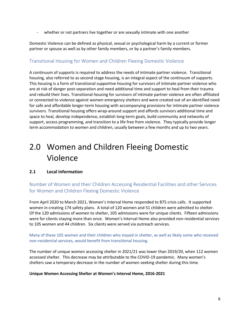whether or not partners live together or are sexually intimate with one another

Domestic Violence can be [defined](https://www.ontario.ca/laws/statute/S00033) as physical, sexual or psychological harm by a current or former partner or spouse as well as [by other family members, or by a partner's family members](http://homelesshub.ca/resource/immigrant-women-family-violence-and-pathways-out-homelessness).

### Transitional Housing for Women and Children Fleeing Domestic Violence

A continuum of supports is required to address the needs of intimate partner violence. Transitional housing, also referred to as second stage housing, is an integral aspect of the continuum of supports. This housing is a form of transitional supportive housing for survivors of intimate partner violence who are at risk of danger post-separation and need additional time and support to heal from their trauma and rebuild their lives. Transitional housing for survivors of intimate partner violence are often affiliated or connected to violence against women emergency shelters and were created out of an identified need for safe and affordable longer-term housing with accompanying provisions for intimate partner violence survivors. Transitional housing offers wrap-around support and affords survivors additional time and space to heal, develop independence, establish long-term goals, build community and networks of support, access programming, and transition to a life free from violence. They typically provide longer term accommodation to women and children, usually between a few months and up to two years.

## <span id="page-5-0"></span>2.0 Women and Children Fleeing Domestic Violence

### <span id="page-5-1"></span>**2.1 Local Information**

Number of Women and their Children Accessing Residential Facilities and other Services for Women and Children Fleeing Domestic Violence

From April 2020 to March 2021, Women's Interval Home responded to 875 crisis calls. It supported women in creating 174 safety plans. A total of 120 women and 51 children were admitted to shelter. Of the 120 admissions of women to shelter, 105 admissions were for unique clients. Fifteen admissions were for clients staying more than once. Women's Interval Home also provided non-residential services to 105 women and 44 children. Six clients were served via outreach services.

Many of these 105 women and their children who stayed in shelter, as well as likely some who received non-residential services, would benefit from transitional housing.

The number of unique women accessing shelter in 2021/21 was lower than 2019/20, when 112 women accessed shelter. This decrease may be attributable to the COVID-19 pandemic. Many women's shelters saw a temporary decrease in the number of women seeking shelter during this time.

#### **Unique Women Accessing Shelter at Women's Interval Home, 2016-2021**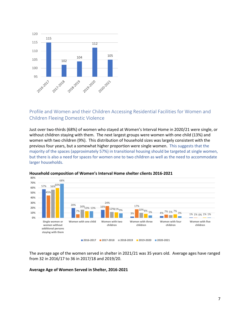

### Profile and Women and their Children Accessing Residential Facilities for Women and Children Fleeing Domestic Violence

Just over two-thirds (68%) of women who stayed at Women's Interval Home in 2020/21 were single, or without children staying with them. The next largest groups were women with one child (13%) and women with two children (9%). This distribution of household sizes was largely consistent with the previous four years, but a somewhat higher proportion were single women. This suggests that the majority of the spaces (approximately 57%) in transitional housing should be targeted at single women, but there is also a need for spaces for women one to two children as well as the need to accommodate larger households.



#### **Household composition of Women's Interval Home shelter clients 2016-2021**

The average age of the women served in shelter in 2021/21 was 35 years old. Average ages have ranged from 32 in 2016/17 to 36 in 2017/18 and 2019/20.

#### **Average Age of Women Served in Shelter, 2016-2021**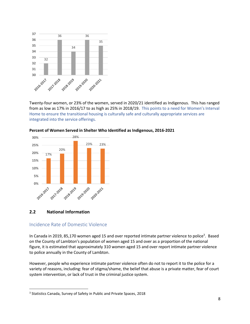

Twenty-four women, or 23% of the women, served in 2020/21 identified as Indigenous. This has ranged from as low as 17% in 2016/17 to as high as 25% in 2018/19. This points to a need for Women's Interval Home to ensure the transitional housing is culturally safe and culturally appropriate services are integrated into the service offerings.



#### **Percent of Women Served in Shelter Who Identified as Indigenous, 2016-2021**

#### <span id="page-7-0"></span>**2.2 National Information**

#### Incidence Rate of Domestic Violence

In Canada in 2019, 85,170 women aged 15 and over reported intimate partner violence to police<sup>3</sup>. Based on the County of Lambton's population of women aged 15 and over as a proportion of the national figure, it is estimated that approximately 310 women aged 15 and over report intimate partner violence to police annually in the County of Lambton.

However, people who experience intimate partner violence often do not to report it to the police for a variety of reasons, including: fear of stigma/shame, the belief that abuse is a private matter, fear of court system intervention, or lack of trust in the criminal justice system.

<sup>&</sup>lt;sup>3</sup> Statistics Canada, Survey of Safety in Public and Private Spaces, 2018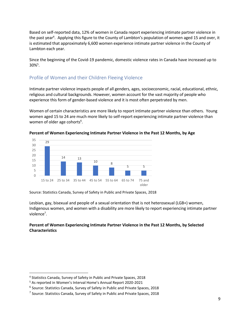Based on self-reported data, 12% of women in Canada report experiencing intimate partner violence in the past year<sup>4</sup>. Applying this figure to the County of Lambton's population of women aged 15 and over, it is estimated that approximately 6,600 women experience intimate partner violence in the County of Lambton each year.

Since the beginning of the Covid-19 pandemic, domestic violence rates in Canada have increased up to  $30\%^{5}$ .

### Profile of Women and their Children Fleeing Violence

Intimate partner violence impacts people of all genders, ages, socioeconomic, racial, educational, ethnic, religious and cultural backgrounds. However, women account for the vast majority of people who experience this form of gender-based violence and it is most often perpetrated by men.

Women of certain characteristics are more likely to report intimate partner violence than others. Young women aged 15 to 24 are much more likely to self-report experiencing intimate partner violence than women of older age cohorts<sup>6</sup>.



**Percent of Women Experiencing Intimate Partner Violence in the Past 12 Months, by Age**

Source: Statistics Canada, Survey of Safety in Public and Private Spaces, 2018

Lesbian, gay, bisexual and people of a sexual orientation that is not heterosexual (LGB+) women, Indigenous women, and women with a disability are more likely to report experiencing intimate partner violence<sup>7</sup>.

#### **Percent of Women Experiencing Intimate Partner Violence in the Past 12 Months, by Selected Characteristics**

<sup>4</sup> Statistics Canada, Survey of Safety in Public and Private Spaces, 2018

<sup>5</sup> As reported in Women's Interval Home's Annual Report 2020-2021

<sup>6</sup> Source: Statistics Canada, Survey of Safety in Public and Private Spaces, 2018

<sup>&</sup>lt;sup>7</sup> Source: Statistics Canada, Survey of Safety in Public and Private Spaces, 2018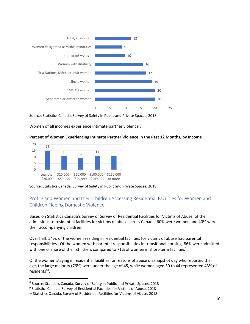

Source: Statistics Canada, Survey of Safety in Public and Private Spaces, 2018

Women of all incomes experience intimate partner violence<sup>8</sup>.

#### **Percent of Women Experiencing Intimate Partner Violence in the Past 12 Months, by Income**



Source: Statistics Canada, Survey of Safety in Public and Private Spaces, 2018

### Profile and Women and their Children Accessing Residential Facilities for Women and Children Fleeing Domestic Violence

Based on Statistics Canada's Survey of Survey of Residential Facilities for Victims of Abuse, of the admissions to residential facilities for victims of abuse across Canada, 60% were women and 40% were their accompanying children.

Over half, 54%, of the women residing in residential facilities for victims of abuse had parental responsibilities. Of the women with parental responsibilities in transitional housing, 86% were admitted with one or more of their children, compared to 71% of women in short-term facilities<sup>9</sup>.

Of the women staying in residential facilities for reasons of abuse on snapshot day who reported their age, the large majority (76%) were under the age of 45, while women aged 30 to 44 represented 43% of residents<sup>10</sup>.

<sup>8</sup> Source: Statistics Canada, Survey of Safety in Public and Private Spaces, 2018

<sup>&</sup>lt;sup>9</sup> Statistics Canada, Survey of Residential Facilities for Victims of Abuse, 2018

<sup>&</sup>lt;sup>10</sup> Statistics Canada, Survey of Residential Facilities for Victims of Abuse, 2018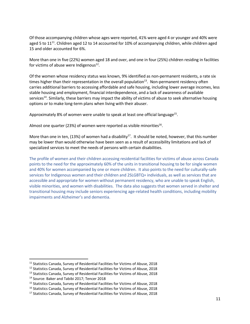Of those accompanying children whose ages were reported, 41% were aged 4 or younger and 40% were aged 5 to 11<sup>11</sup>. Children aged 12 to 14 accounted for 10% of accompanying children, while children aged 15 and older accounted for 6%.

More than one in five (22%) women aged 18 and over, and one in four (25%) children residing in facilities for victims of abuse were Indigenous<sup>12</sup>.

Of the women whose residency status was known, 9% identified as non-permanent residents, a rate six times higher than their representation in the overall population<sup>13</sup>. Non-permanent residency often carries additional barriers to accessing affordable and safe housing, including lower average incomes, less stable housing and employment, financial interdependence, and a lack of awareness of available services<sup>14</sup>. Similarly, these barriers may impact the ability of victims of abuse to seek alternative housing options or to make long-term plans when living with their abuser.

Approximately 8% of women were unable to speak at least one official language<sup>15</sup>.

Almost one quarter (23%) of women were reported as visible minorities<sup>16</sup>.

More than one in ten, (13%) of women had a disability<sup>17</sup>. It should be noted, however, that this number may be lower than would otherwise have been seen as a result of accessibility limitations and lack of specialized services to meet the needs of persons with certain disabilities.

<span id="page-10-0"></span>The profile of women and their children accessing residential facilities for victims of abuse across Canada points to the need for the approximately 60% of the units in transitional housing to be for single women and 40% for women accompanied by one or more children. It also points to the need for culturally-safe services for Indigenous women and their children and 2SLGBTQ+ individuals, as well as services that are accessible and appropriate for women without permanent residency, who are unable to speak English, visible minorities, and women with disabilities. The data also suggests that women served in shelter and transitional housing may include seniors experiencing age-related health conditions, including mobility impairments and Alzheimer's and dementia.

<sup>&</sup>lt;sup>11</sup> Statistics Canada, Survey of Residential Facilities for Victims of Abuse, 2018

<sup>&</sup>lt;sup>12</sup> Statistics Canada, Survey of Residential Facilities for Victims of Abuse, 2018

<sup>&</sup>lt;sup>13</sup> Statistics Canada, Survey of Residential Facilities for Victims of Abuse, 2018

<sup>14</sup> Source[: Baker and Tabibi 2017;](https://www150.statcan.gc.ca/n1/pub/85-002-x/2019001/article/00007-eng.htm#r4) [Tencer 2018](https://www150.statcan.gc.ca/n1/pub/85-002-x/2019001/article/00007-eng.htm#r30)

<sup>&</sup>lt;sup>15</sup> Statistics Canada, Survey of Residential Facilities for Victims of Abuse, 2018

<sup>&</sup>lt;sup>16</sup> Statistics Canada, Survey of Residential Facilities for Victims of Abuse, 2018

<sup>&</sup>lt;sup>17</sup> Statistics Canada, Survey of Residential Facilities for Victims of Abuse, 2018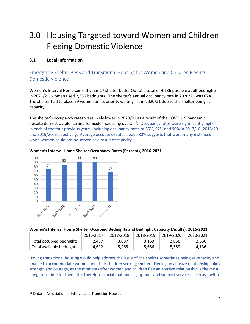## 3.0 Housing Targeted toward Women and Children Fleeing Domestic Violence

### <span id="page-11-0"></span>**3.1 Local Information**

### Emergency Shelter Beds and Transitional Housing for Women and Children Fleeing Domestic Violence

Women's Interval Home currently has 17 shelter beds. Out of a total of 4,136 possible adult bednights in 2021/21, women used 2,356 bednights. The shelter's annual occupancy rate in 2020/21 was 67%. The shelter had to place 29 women on its priority waiting list in 2020/21 due to the shelter being at capacity.

The shelter's occupancy rates were likely lower in 2020/21 as a result of the COVID-19 pandemic, despite domestic violence and femicide increasing overall<sup>18</sup>. Occupancy rates were significantly higher in each of the four previous years, including occupancy rates of 85%, 92% and 90% in 2017/18, 2018/19 and 2019/20, respectively. Average occupancy rates above 80% suggests that were many instances when women could not be served as a result of capacity.



#### **Women's Interval Home Shelter Occupancy Rates (Percent), 2016-2021**

#### **Women's Interval Home Shelter Occupied Bednights and Bednight Capacity (Adults), 2016-2021**

|                           | 2016-2017 | 2017-2018 | 2018-2019 | 2019-2020 | 2020-2021 |
|---------------------------|-----------|-----------|-----------|-----------|-----------|
| Total occupied bednights  | 2.437     | 3.087     | 3.159     | 2.856     | 2.356     |
| Total available bednights | 4.612     | 5.265     | 5.686     | 5.559     | 4.136     |

Having transitional housing would help address the issue of the shelter sometimes being at capacity and unable to accommodate women and their children seeking shelter. Fleeing an abusive relationship takes strength and courage, as the moments after women and children flee an abusive relationship is the most dangerous time for them. It is therefore crucial that housing options and support services, such as shelter

<sup>18</sup> Ontario Association of Interval and Transition Houses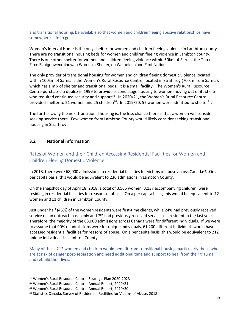and transitional housing, be available so that women and children fleeing abusive relationships have somewhere safe to go.

Women's Interval Home is the only shelter for women and children fleeing violence in Lambton county. There are no transitional housing beds for women and children fleeing violence in Lambton county. There is one other shelter for women and children fleeing violence within 50km of Sarnia, the Three Fires Ezhignowenmindwaa Women's Shelter, on Walpole Island First Nation.

The only provider of transitional housing for women and children fleeing domestic violence located within 100km of Sarnia is the Women's Rural Resource Centre, located in Strathroy (70 km from Sarnia), which has a mix of shelter and transitional beds. It is a small facility. The Women's Rural Resource Centre purchased a duplex in 1999 to provide second stage housing to women moving out of its shelter who required continued security and support<sup>19</sup>. In 2020/21, the Women's Rural Resource Centre provided shelter to 21 women and 25 children<sup>20</sup>. In 2019/20, 57 women were admitted to shelter<sup>21</sup>.

The further away the next transitional housing is, the less chance there is that a women will consider seeking service there. Few women from Lambton County would likely consider seeking transitional housing in Strathroy.

#### <span id="page-12-0"></span>**3.2 National Information**

### Rates of Women and their Children Accessing Residential Facilities for Women and Children Fleeing Domestic Violence

In 2018, there were 68,000 admissions to residential facilities for victims of abuse across Canada<sup>22</sup>. On a per capita basis, this would be equivalent to 236 admissions in Lambton County.

On the snapshot day of April 18, 2018, a total of 3,565 women, 3,137 accompanying children, were residing in residential facilities for reasons of abuse. On a per capita basis, this would be equivalent to 12 women and 11 children in Lambton County.

Just under half (45%) of the women residents were first-time clients, while 24% had previously received service on an outreach basis only and 7% had previously received service as a resident in the last year. Therefore, the majority of the 68,000 admissions across Canada were for different individuals. If we were to assume that 90% of admissions were for unique individuals, 61,200 different individuals would have accessed residential facilities for reasons of abuse. On a per capita basis, this would be equivalent to 212 unique individuals in Lambton County.

Many of these 212 women and children would benefit from transitional housing, particularly those who are at risk of danger post-separation and need additional time and support to heal from their trauma and rebuild their lives.

<sup>19</sup> Women's Rural Resource Centre, Strategic Plan 2020-2023

<sup>20</sup> Women's Rural Resource Centre, Annual Report, 2020/21

<sup>21</sup> Women's Rural Resource Centre, Annual Report, 2019/20

<sup>&</sup>lt;sup>22</sup> Statistics Canada, Survey of Residential Facilities for Victims of Abuse, 2018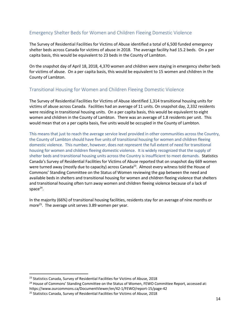### Emergency Shelter Beds for Women and Children Fleeing Domestic Violence

The Survey of Residential Facilities for Victims of Abuse identified a total of 6,500 funded emergency shelter beds across Canada for victims of abuse in 2018. The average facility had 15.2 beds. On a per capita basis, this would be equivalent to 23 beds in the County of Lambton.

On the snapshot day of April 18, 2018, 4,370 women and children were staying in emergency shelter beds for victims of abuse. On a per capita basis, this would be equivalent to 15 women and children in the County of Lambton.

### Transitional Housing for Women and Children Fleeing Domestic Violence

The Survey of Residential Facilities for Victims of Abuse identified 1,314 transitional housing units for victims of abuse across Canada. Facilities had an average of 11 units. On snapshot day, 2,332 residents were residing in transitional housing units. On a per capita basis, this would be equivalent to eight women and children in the County of Lambton. There was an average of 1.8 residents per unit. This would mean that on a per capita basis, five units would be occupied in the County of Lambton.

This means that just to reach the average service level provided in other communities across the Country, the County of Lambton should have five units of transitional housing for women and children fleeing domestic violence. This number, however, does not represent the full extent of need for transitional housing for women and children fleeing domestic violence. It is widely recognized that the supply of shelter beds and transitional housing units across the Country is insufficient to meet demands. Statistics Canada's Survey of Residential Facilities for Victims of Abuse reported that on snapshot day 669 women were turned away (mostly due to capacity) across Canada<sup>23</sup>. Almost every witness told the House of Commons' Standing Committee on the Status of Women reviewing the gap between the need and available beds in shelters and transitional housing for women and children fleeing violence that shelters and transitional housing often turn away women and children fleeing violence because of a lack of  $space^{24}.$ 

<span id="page-13-0"></span>In the majority (66%) of transitional housing facilities, residents stay for an average of nine months or more<sup>25</sup>. The average unit serves 3.89 women per year.

<sup>&</sup>lt;sup>23</sup> Statistics Canada, Survey of Residential Facilities for Victims of Abuse, 2018

<sup>&</sup>lt;sup>24</sup> House of Commons' Standing Committee on the Status of Women, FEWO Committee Report, accessed at: https://www.ourcommons.ca/DocumentViewer/en/42-1/FEWO/report-15/page-42

<sup>&</sup>lt;sup>25</sup> Statistics Canada, Survey of Residential Facilities for Victims of Abuse, 2018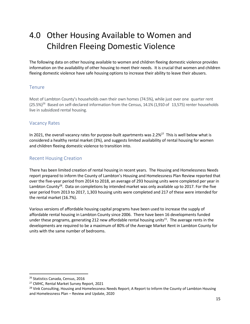## 4.0 Other Housing Available to Women and Children Fleeing Domestic Violence

The following data on other housing available to women and children fleeing domestic violence provides information on the availability of other housing to meet their needs. It is crucial that women and children fleeing domestic violence have safe housing options to increase their ability to leave their abusers.

#### Tenure

Most of Lambton County's households own their own homes (74.5%), while just over one quarter rent (25.5%)<sup>26</sup> Based on self-declared information from the Census, 14.1% (1,910 of 13,575) renter households live in subsidized rental housing.

### Vacancy Rates

In 2021, the overall vacancy rates for purpose-built apartments was 2.2%<sup>27</sup> This is well below what is considered a healthy rental market (3%), and suggests limited availability of rental housing for women and children fleeing domestic violence to transition into.

#### Recent Housing Creation

There has been limited creation of rental housing in recent years. The Housing and Homelessness Needs report prepared to inform the County of Lambton's Housing and Homelessness Plan Review reported that over the five-year period from 2014 to 2018, an average of 293 housing units were completed per year in Lambton County<sup>28</sup>. Data on completions by intended market was only available up to 2017. For the five year period from 2013 to 2017, 1,303 housing units were completed and 217 of these were intended for the rental market (16.7%).

Various versions of affordable housing capital programs have been used to increase the supply of affordable rental housing in Lambton County since 2006. There have been 16 developments funded under these programs, generating 212 new affordable rental housing units<sup>15</sup>. The average rents in the developments are required to be a maximum of 80% of the Average Market Rent in Lambton County for units with the same number of bedrooms.

<sup>&</sup>lt;sup>26</sup> Statistics Canada, Census, 2016

<sup>27</sup> CMHC, Rental Market Survey Report, 2021

<sup>&</sup>lt;sup>28</sup> Vink Consulting, Housing and Homelessness Needs Report; A Report to Inform the County of Lambton Housing and Homelessness Plan – Review and Update, 2020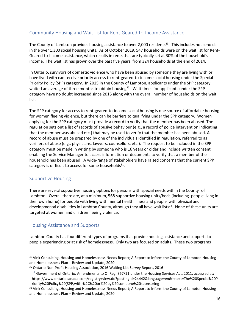### Community Housing and Wait List for Rent-Geared-to-Income Assistance

The County of Lambton provides housing assistance to over 2,000 residents<sup>29</sup>. This includes households in the over 1,300 social housing units. As of October 2019, 547 households were on the wait list for Rent-Geared-to-Income assistance, which results in rents that are typically set at 30% of the household's income. The wait list has grown over the past five years, from 324 households at the end of 2014.

In Ontario, survivors of domestic violence who have been abused by someone they are living with or have lived with can receive priority access to rent-geared-to-income social housing under the Special Priority Policy (SPP) category. In 2015 in the County of Lambton, applicants under the SPP category waited an average of three months to obtain housing<sup>30</sup>. Wait times for applicants under the SPP category have no doubt increased since 2015 along with the overall number of households on the wait list.

The SPP category for access to rent-geared-to-income social housing is one source of affordable housing for women fleeing violence, but there can be barriers to qualifying under the SPP category. Women applying for the SPP category must provide a record to verify that the member has been abused. The regulation sets out a list of records of abusive behaviour (e.g., a record of police intervention indicating that the member was abused etc.) that may be used to verify that the member has been abused. A record of abuse must be prepared by one of the individuals identified in regulation, referred to as verifiers of abuse (e.g., physicians, lawyers, counsellors, etc.). The request to be included in the SPP category must be made in writing by someone who is 16 years or older and include written consent enabling the Service Manager to access information or documents to verify that a member of the household has been abused. A wide-range of stakeholders have raised concerns that the current SPP category is difficult to access for some households<sup>31</sup>.

#### Supportive Housing

There are several supportive housing options for persons with special needs within the County of Lambton. Overall there are, at a minimum, 568 supportive housing units/beds (including people living in their own home) for people with living with mental health illness and people with physical and developmental disabilities in Lambton County, although they all have wait lists<sup>32</sup>. None of these units are targeted at women and children fleeing violence.

### Housing Assistance and Supports

Lambton County has four different types of programs that provide housing assistance and supports to people experiencing or at risk of homelessness. Only two are focused on adults. These two programs

<sup>&</sup>lt;sup>29</sup> Vink Consulting, Housing and Homelessness Needs Report; A Report to Inform the County of Lambton Housing and Homelessness Plan – Review and Update, 2020

<sup>&</sup>lt;sup>30</sup> Ontario Non-Profit Housing Association, 2016 Waiting List Survey Report, 2016

 $31$  Government of Ontario, Amendments to O. Reg. 367/11 under the Housing Services Act, 2011, accessed at: https://www.ontariocanada.com/registry/view.do?postingId=24442&language=en#:~:text=The%20Special%20P riority%20Policy%20(SPP,with)%2C%20or%20by%20someone%20sponsoring

<sup>&</sup>lt;sup>32</sup> Vink Consulting, Housing and Homelessness Needs Report; A Report to Inform the County of Lambton Housing and Homelessness Plan – Review and Update, 2020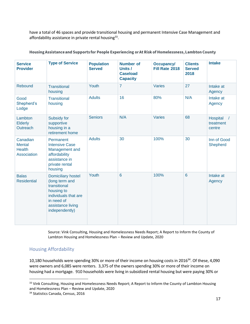have a total of 46 spaces and provide transitional housing and permanent Intensive Case Management and affordability assistance in private rental housing<sup>33</sup>.

| <b>Service</b><br><b>Provider</b>                         | <b>Type of Service</b>                                                                                                                                 | <b>Population</b><br><b>Served</b> | <b>Number of</b><br>Units /<br><b>Caseload</b><br><b>Capacity</b> | <b>Occupancy/</b><br>Fill Rate 2018 | <b>Clients</b><br><b>Served</b><br>2018 | <b>Intake</b>                                 |
|-----------------------------------------------------------|--------------------------------------------------------------------------------------------------------------------------------------------------------|------------------------------------|-------------------------------------------------------------------|-------------------------------------|-----------------------------------------|-----------------------------------------------|
| Rebound                                                   | <b>Transitional</b><br>housing                                                                                                                         | Youth                              | $\overline{7}$                                                    | Varies                              | 27                                      | Intake at<br>Agency                           |
| Good<br>Shepherd's<br>Lodge                               | <b>Transitional</b><br>housing                                                                                                                         | <b>Adults</b>                      | 16                                                                | 80%                                 | N/A                                     | Intake at<br>Agency                           |
| Lambton<br>Elderly<br>Outreach                            | Subsidy for<br>supportive<br>housing in a<br>retirement home                                                                                           | <b>Seniors</b>                     | N/A                                                               | <b>Varies</b>                       | 68                                      | Hospital<br>$\sqrt{ }$<br>treatment<br>centre |
| Canadian<br><b>Mental</b><br><b>Health</b><br>Association | Permanent<br><b>Intensive Case</b><br>Management and<br>affordability<br>assistance in<br>private rental<br>housing                                    | <b>Adults</b>                      | 30                                                                | 100%                                | 30                                      | Inn of Good<br>Shepherd                       |
| <b>Balas</b><br><b>Residential</b>                        | <b>Domiciliary hostel</b><br>(long term and<br>transitional<br>housing to<br>individuals that are<br>in need of<br>assistance living<br>independently) | Youth                              | $6\phantom{1}6$                                                   | 100%                                | $6\phantom{1}6$                         | Intake at<br>Agency                           |

#### Housing Assistance and Supports for People Experiencing or At Risk of Homelessness, Lambton County

Source: Vink Consulting, Housing and Homelessness Needs Report; A Report to Inform the County of Lambton Housing and Homelessness Plan – Review and Update, 2020

### Housing Affordability

10,180 households were spending 30% or more of their income on housing costs in 2016<sup>34</sup>. Of these, 4,090 were owners and 6,085 were renters. 3,375 of the owners spending 30% or more of their income on housing had a mortgage. 910 households were living in subsidized rental housing but were paying 30% or

<sup>33</sup> Vink Consulting, Housing and Homelessness Needs Report; A Report to Inform the County of Lambton Housing and Homelessness Plan – Review and Update, 2020

<sup>&</sup>lt;sup>34</sup> Statistics Canada, Census, 2016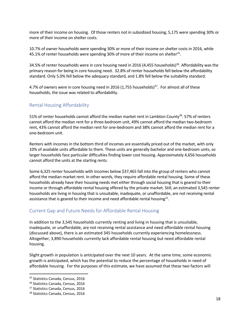more of their income on housing. Of those renters not in subsidized housing, 5,175 were spending 30% or more of their income on shelter costs.

10.7% of owner households were spending 30% or more of their income on shelter costs in 2016, while 45.1% of renter households were spending 30% of more of their income on shelter $^{35}$ .

34.5% of renter households were in core housing need in 2016 (4,455 households)<sup>36</sup>. Affordability was the primary reason for being in core housing need. 32.8% of renter households fell below the affordability standard. Only 5.0% fell below the adequacy standard, and 1.8% fell below the suitability standard.

4.7% of owners were in core housing need in 2016 (1,755 households)<sup>37</sup>. For almost all of these households, the issue was related to affordability.

### Rental Housing Affordability

51% of renter households cannot afford the median market rent in Lambton County<sup>38</sup>. 57% of renters cannot afford the median rent for a three-bedroom unit, 49% cannot afford the median two-bedroom rent, 43% cannot afford the median rent for one-bedroom and 38% cannot afford the median rent for a one-bedroom unit.

Renters with incomes in the bottom third of incomes are essentially priced out of the market, with only 10% of available units affordable to them. These units are generally bachelor and one-bedroom units, so larger households face particular difficulties finding lower cost housing. Approximately 4,656 households cannot afford the units at the starting rents.

Some 6,325 renter households with incomes below \$37,465 fall into the group of renters who cannot afford the median market rent. In other words, they require affordable rental housing. Some of these households already have their housing needs met either through social housing that is geared to their income or through affordable rental housing offered by the private market. Still, an estimated 3,545 renter households are living in housing that is unsuitable, inadequate, or unaffordable, are not receiving rental assistance that is geared to their income and need affordable rental housing<sup>21</sup>.

### Current Gap and Future Needs for Affordable Rental Housing

In addition to the 3,545 households currently renting and living in housing that is unsuitable, inadequate, or unaffordable, are not receiving rental assistance and need affordable rental housing (discussed above), there is an estimated 345 households currently experiencing homelessness. Altogether, 3,890 households currently lack affordable rental housing but need affordable rental housing.

Slight growth in population is anticipated over the next 10 years. At the same time, some economic growth is anticipated, which has the potential to reduce the percentage of households in need of affordable housing. For the purposes of this estimate, we have assumed that these two factors will

<sup>&</sup>lt;sup>35</sup> Statistics Canada, Census, 2016

<sup>36</sup> Statistics Canada, Census, 2016

<sup>&</sup>lt;sup>37</sup> Statistics Canada, Census, 2016

<sup>38</sup> Statistics Canada, Census, 2016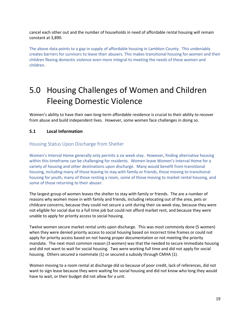cancel each other out and the number of households in need of affordable rental housing will remain constant at 3,890.

The above data points to a gap in supply of affordable housing in Lambton County. This undeniably creates barriers for survivors to leave their abusers. This makes transitional housing for women and their children fleeing domestic violence even more integral to meeting the needs of these women and children.

## <span id="page-18-0"></span>5.0 Housing Challenges of Women and Children Fleeing Domestic Violence

Women's ability to have their own long-term affordable residence is crucial to their ability to recover from abuse and build independent lives. However, some women face challenges in doing so.

#### <span id="page-18-1"></span>**5.1 Local Information**

#### Housing Status Upon Discharge from Shelter

Women's Interval Home generally only permits a six week stay. However, finding alternative housing within this timeframe can be challenging for residents. Women leave Women's Interval Home for a variety of housing and other destinations upon discharge. Many would benefit from transitional housing, including many of those leaving to stay with family or friends, those moving to transitional housing for youth, many of those renting a room, some of those moving to market rental housing, and some of those returning to their abuser.

The largest group of women leaves the shelter to stay with family or friends. The are a number of reasons why women move in with family and friends, including relocating out of the area, pets or childcare concerns, because they could not secure a unit during their six week stay, because they were not eligible for social due to a full time job but could not afford market rent, and because they were unable to apply for priority access to social housing.

Twelve women secure market rental units upon discharge. This was most commonly done (5 women) when they were denied priority access to social housing based on incorrect time frames or could not apply for priority access based on not having proper documentation or not meeting the priority mandate. The next most common reason (3 women) was that the needed to secure immediate housing and did not want to wait for social housing. Two were working full time and did not apply for social housing. Others secured a roommate (1) or secured a subsidy through CMHA (1).

Women moving to a room rental at discharge did so because of poor credit, lack of references, did not want to sign lease because they were waiting for social housing and did not know who long they would have to wait, or their budget did not allow for a unit.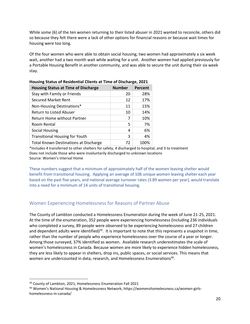While some (6) of the ten women returning to their listed abuser in 2021 wanted to reconcile, others did so because they felt there were a lack of other options for financial reasons or because wait times for housing were too long.

Of the four women who were able to obtain social housing, two women had approximately a six week wait, another had a two month wait while waiting for a unit. Another women had applied previously for a Portable Housing Benefit in another community, and was able to secure the unit during their six week stay.

| <b>Housing Status at Time of Discharge</b>   | <b>Number</b> | Percent |  |  |
|----------------------------------------------|---------------|---------|--|--|
| Stay with Family or Friends                  | 20            | 28%     |  |  |
| <b>Secured Market Rent</b>                   | 12            | 17%     |  |  |
| Non-Housing Destinations*                    | 11            | 15%     |  |  |
| <b>Return to Listed Abuser</b>               | 10            | 14%     |  |  |
| Return Home without Partner                  | 7             | 10%     |  |  |
| Room Rental                                  | 5             | 7%      |  |  |
| Social Housing                               | 4             | 6%      |  |  |
| <b>Transitional Housing for Youth</b>        | 3             | 4%      |  |  |
| <b>Total Known Destinations at Discharge</b> | 72            | 100%    |  |  |

| Housing Status of Residential Clients at Time of Discharge, 2021 |  |
|------------------------------------------------------------------|--|
|                                                                  |  |

\*Includes 4 transferred to other shelters for safety, 4 discharged to hospital, and 3 to treatment Does not include those who were involuntarily discharged to unknown locations Source: Women's Interval Home

These numbers suggest that a minimum of approximately half of the women leaving shelter would benefit from transitional housing. Applying an average of 108 unique women leaving shelter each year based on the past five years, and national average turnover rates (3.89 women per year), would translate into a need for a minimum of 14 units of transitional housing.

### Women Experiencing Homelessness for Reasons of Partner Abuse

The County of Lambton conducted a Homelessness Enumeration during the week of June 21-25, 2021. At the time of the enumeration, 352 people were experiencing homelessness (including 236 individuals who completed a survey, 89 people were observed to be experiencing homelessness and 27 children and dependent adults were identified)<sup>39</sup>. It is important to note that this represents a snapshot in time, rather than the number of people who experience homelessness over the course of a year or longer. Among those surveyed, 37% identified as women. Available research underestimates the scale of women's homelessness in Canada. Because women are more likely to experience [hidden homelessness,](https://www.homelesshub.ca/about-homelessness/population-specific/hidden-homelessness) they are less likely to appear in shelters, drop ins, public spaces, or social services. This means that women are undercounted in data, research, and Homelessness Enumerations<sup>40</sup>.

<sup>&</sup>lt;sup>39</sup> County of Lambton, 2021, Homelessness Enumeration Fall 2021

<sup>40</sup> Women's National Housing & Homelessness Network, https://womenshomelessness.ca/women-girlshomelessness-in-canada/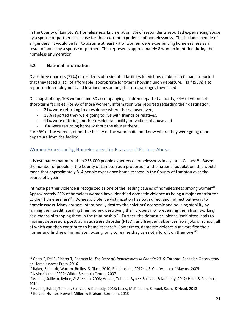In the County of Lambton's Homelessness Enumeration, 7% of respondents reported experiencing abuse by a spouse or partner as a cause for their current experience of homelessness. This includes people of all genders. It would be fair to assume at least 7% of women were experiencing homelessness as a result of abuse by a spouse or partner. This represents approximately 8 women identified during the homeless enumeration.

#### <span id="page-20-0"></span>**5.2 National Information**

Over three quarters (77%) of residents of residential facilities for victims of abuse in Canada reported that they faced a lack of affordable, appropriate long-term housing upon departure. Half (50%) also report underemployment and low incomes among the top challenges they faced.

On snapshot day, 103 women and 30 accompanying children departed a facility, 94% of whom left short-term facilities. For 95 of those women, information was reported regarding their destination:

- 21% were returning to a residence where their abuser lived,
- 18% reported they were going to live with friends or relatives,
- 11% were entering another residential facility for victims of abuse and
- 8% were returning home without the abuser there.

For 36% of the women, either the facility or the women did not know where they were going upon departure from the facility.

### Women Experiencing Homelessness for Reasons of Partner Abuse

It is estimated that more than 235,000 people experience homelessness in a year in Canada<sup>41</sup>. Based the number of people in the County of Lambton as a proportion of the national population, this would mean that approximately 814 people experience homelessness in the County of Lambton over the course of a year.

Intimate partner violence is recognized as one of the leading causes of homelessness among women<sup>42</sup>. Approximately 25% of homeless women have identified domestic violence as being a major contributor to their homelessness<sup>43</sup>. Domestic violence victimization has both direct and indirect pathways to homelessness. Many abusers intentionally destroy their victims' economic and housing stability by ruining their credit, stealing their money, destroying their property, or preventing them from working, as a means of trapping them in the relationship<sup>44</sup>. Further, the domestic violence itself often leads to injuries, depression, posttraumatic stress disorder (PTSD), and frequent absences from jobs or school, all of which can then contribute to homelessness<sup>45</sup>. Sometimes, domestic violence survivors flee their homes and find new immediate housing, only to realize they can not afford it on their own<sup>46</sup>.

<sup>41</sup> Gaetz S, Dej E, Richter T, Redman M. *The State of Homelessness in Canada 2016*. Toronto: Canadian Observatory on Homelessness Press, 2016.

<sup>42</sup> Baker, Billhardt, Warren, Rollins, & Glass, 2010; Rollins et al., 2012; U.S. Conference of Mayors, 2005

<sup>43</sup> Jasinski et al., 2002; Wilder Research Center, 2007

<sup>44</sup> Adams, Sullivan, Bybee, & Greeson, 2008; Adams, Tolman, Bybee, Sullivan, & Kennedy, 2012; Hahn & Postmus, 2014.

<sup>45</sup> Adams, Bybee, Tolman, Sullivan, & Kennedy, 2013; Lacey, McPherson, Samuel, Sears, & Head, 2013

<sup>46</sup> Galano, Hunter, Howell, Miller, & Graham-Bermann, 2013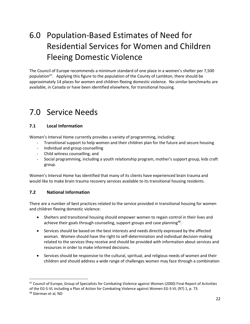## <span id="page-21-0"></span>6.0 Population-Based Estimates of Need for Residential Services for Women and Children Fleeing Domestic Violence

The Council of Europe recommends a minimum standard of one place in a women's shelter per 7,500 population<sup>47</sup>. Applying this figure to the population of the County of Lambton, there should be approximately 14 places for women and children fleeing domestic violence. No similar benchmarks are available, in Canada or have been identified elsewhere, for transitional housing.

## <span id="page-21-1"></span>7.0 Service Needs

#### <span id="page-21-2"></span>**7.1 Local Information**

Women's Interval Home currently provides a variety of programming, including:

- Transitional support to help women and their children plan for the future and secure housing
- Individual and group counselling
- Child witness counselling, and
- Social programming, including a youth relationship program, mother's support group, kids craft group.

Women's Interval Home has identified that many of its clients have experienced brain trauma and would like to make brain trauma recovery services available to its transitional housing residents.

#### <span id="page-21-3"></span>**7.2 National Information**

There are a number of best practices related to the service provided in transitional housing for women and children fleeing domestic violence:

- Shelters and transitional housing should empower women to regain control in their lives and achieve their goals through counseling, support groups and case planning<sup>48</sup>.
- Services should be based on the best interests and needs directly expressed by the affected woman. Women should have the right to self-determination and individual decision-making related to the services they receive and should be provided with information about services and resources in order to make informed decisions.
- Services should be responsive to the cultural, spiritual, and religious needs of women and their children and should address a wide range of challenges women may face through a combination

<sup>&</sup>lt;sup>47</sup> Council of Europe, Group of Specialists for Combating Violence against Women (2000) Final Report of Activities of the EG-S-VL including a Plan of Action for Combating Violence against Women EG-S-VL (97) 1, p. 73.

<sup>48</sup> Gierman et al, ND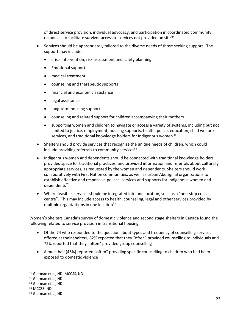of direct service provision, individual advocacy, and participation in coordinated community responses to facilitate survivor access to services not provided on site<sup>49</sup>

- Services should be appropriately tailored to the diverse needs of those seeking support. The support may include:
	- crisis intervention, risk assessment and safety planning.
	- Emotional support
	- medical treatment
	- counseling and therapeutic supports
	- financial and economic assistance
	- legal assistance
	- long-term housing support
	- counseling and related support for children accompanying their mothers
	- supporting women and children to navigate or access a variety of systems, including but not limited to justice, employment, housing supports, health, police, education, child welfare services, and traditional knowledge holders for Indigenous women<sup>50</sup>
- Shelters should provide services that recognize the unique needs of children, which could include providing referrals to community services $51$
- Indigenous women and dependents should be connected with traditional knowledge holders, provided space for traditional practices, and provided information and referrals about culturally appropriate services, as requested by the women and dependents. Shelters should work collaboratively with First Nation communities, as well as urban Aboriginal organizations to establish effective and responsive polices, services and supports for Indigenous women and  $denedents<sup>52</sup>$
- Where feasible, services should be integrated into one location, such as a "one-stop crisis centre". This may include access to health, counseling, legal and other services provided by multiple organizations in one location<sup>53</sup>

Women's Shelters Canada's survey of domestic violence and second stage shelters in Canada found the following related to service provision in transitional housing:

- Of the 74 who responded to the question about types and frequency of counselling services offered at their shelters, 82% reported that they "often" provided counselling to individuals and 72% reported that they "often" provided group counselling
- Almost half (46%) reported "often" providing specific counselling to children who had been exposed to domestic violence

<sup>49</sup> Gierman et al, ND; MCCSS, ND

<sup>50</sup> Gierman et al, ND

<sup>51</sup> Gierman et al, ND

<sup>52</sup> MCCSS, ND

<sup>53</sup> Gierman et al, ND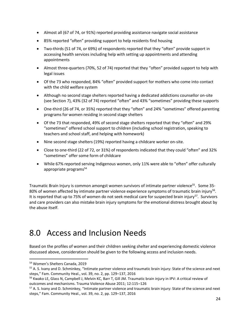- Almost all (67 of 74, or 91%) reported providing assistance navigate social assistance
- 85% reported "often" providing support to help residents find housing
- Two-thirds (51 of 74, or 69%) of respondents reported that they "often" provide support in accessing health services including help with setting up appointments and attending appointments
- Almost three-quarters (70%, 52 of 74) reported that they "often" provided support to help with legal issues
- Of the 73 who responded, 84% "often" provided support for mothers who come into contact with the child welfare system
- Although no second stage shelters reported having a dedicated addictions counsellor on-site (see Section 7), 43% (32 of 74) reported "often" and 43% "sometimes" providing these supports
- One-third (26 of 74, or 35%) reported that they "often" and 24% "sometimes" offered parenting programs for women residing in second stage shelters
- Of the 73 that responded, 49% of second stage shelters reported that they "often" and 29% "sometimes" offered school support to children (including school registration, speaking to teachers and school staff, and helping with homework)
- Nine second stage shelters (19%) reported having a childcare worker on-site.
- Close to one-third (22 of 72, or 31%) of respondents indicated that they could "often" and 32% "sometimes" offer some form of childcare
- While 67% reported serving Indigenous women, only 11% were able to "often" offer culturally appropriate programs<sup>54</sup>

Traumatic Brain Injury is common amongst women survivors of intimate partner violence<sup>55</sup>. Some 35-80% of women affected by intimate partner violence experience symptoms of traumatic brain injury<sup>56</sup>. It is reported that up to 75% of women do not seek medical care for suspected brain injury<sup>57</sup>. Survivors and care providers can also mistake brain injury symptoms for the emotional distress brought about by the abuse itself.

### 8.0 Access and Inclusion Needs

Based on the profiles of women and their children seeking shelter and experiencing domestic violence discussed above, consideration should be given to the following access and inclusion needs.

<sup>54</sup> Women's Shelters Canada, 2019

<sup>&</sup>lt;sup>55</sup> A. S. Ivany and D. Schminkey, "Intimate partner violence and traumatic brain injury: State of the science and next steps," Fam. Community Heal., vol. 39, no. 2, pp. 129–137, 2016

<sup>&</sup>lt;sup>56</sup> Kwako LE, Glass N, Campbell J, Melvin KC, Barr T, Gill JM. Traumatic brain injury in IPV: A critical review of outcomes and mechanisms. Trauma Violence Abuse 2011; 12:115–126

<sup>&</sup>lt;sup>57</sup> A. S. Ivany and D. Schminkey, "Intimate partner violence and traumatic brain injury: State of the science and next steps," Fam. Community Heal., vol. 39, no. 2, pp. 129–137, 2016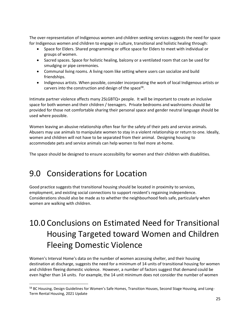The over-representation of Indigenous women and children seeking services suggests the need for space for Indigenous women and children to engage in culture, transitional and holistic healing through:

- Space for Elders. Shared programming or office space for Elders to meet with individual or groups of women.
- Sacred spaces. Space for holistic healing, balcony or a ventilated room that can be used for smudging or pipe ceremonies.
- Communal living rooms. A living room like setting where users can socialize and build friendships.
- Indigenous artists. When possible, consider incorporating the work of local Indigenous artists or carvers into the construction and design of the space<sup>58</sup>.

Intimate partner violence affects many 2SLGBTQ+ people. It will be important to create an inclusive space for both women and their children / teenagers. Private bedrooms and washrooms should be provided for those not comfortable sharing their personal space and gender neutral language should be used where possible.

Women leaving an abusive relationship often fear for the safety of their pets and service animals. Abusers may use animals to manipulate women to stay in a violent relationship or return to one. Ideally, women and children will not have to be separated from their animal. Designing housing to accommodate pets and service animals can help women to feel more at-home.

The space should be designed to ensure accessibility for women and their children with disabilities.

## 9.0 Considerations for Location

Good practice suggests that transitional housing should be located in proximity to services, employment, and existing social connections to support resident's regaining independence. Considerations should also be made as to whether the neighbourhood feels safe, particularly when women are walking with children.

## <span id="page-24-0"></span>10.0 Conclusions on Estimated Need for Transitional Housing Targeted toward Women and Children Fleeing Domestic Violence

Women's Interval Home's data on the number of women accessing shelter, and their housing destination at discharge, suggests the need for a minimum of 14 units of transitional housing for women and children fleeing domestic violence. However, a number of factors suggest that demand could be even higher than 14 units. For example, the 14 unit minimum does not consider the number of women

<sup>58</sup> BC Housing, Design Guidelines for Women's Safe Homes, Transition Houses, Second Stage Housing, and Long-Term Rental Housing, 2021 Update